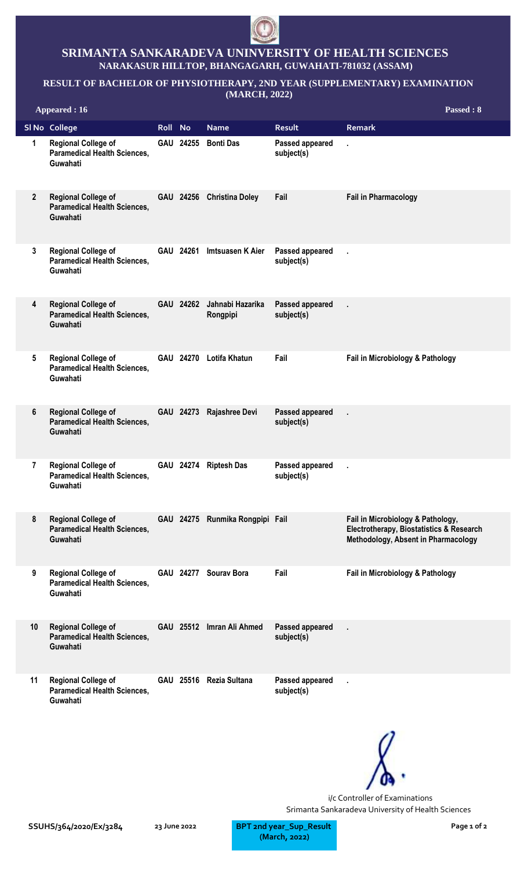

## **SRIMANTA SANKARADEVA UNINVERSITY OF HEALTH SCIENCES NARAKASUR HILLTOP, BHANGAGARH, GUWAHATI-781032 (ASSAM)**

## **RESULT OF BACHELOR OF PHYSIOTHERAPY, 2ND YEAR (SUPPLEMENTARY) EXAMINATION**

**(MARCH, 2022)**

|                | <b>Appeared: 16</b>                                                           |             |           |                                 |                                      | Passed: 8                                                                                                                       |
|----------------|-------------------------------------------------------------------------------|-------------|-----------|---------------------------------|--------------------------------------|---------------------------------------------------------------------------------------------------------------------------------|
|                | SI No College                                                                 | <b>Roll</b> | <b>No</b> | <b>Name</b>                     | <b>Result</b>                        | <b>Remark</b>                                                                                                                   |
| 1              | <b>Regional College of</b><br><b>Paramedical Health Sciences,</b><br>Guwahati |             | GAU 24255 | <b>Bonti Das</b>                | Passed appeared<br>subject(s)        | $\mathbf{r}$                                                                                                                    |
| $\overline{2}$ | <b>Regional College of</b><br><b>Paramedical Health Sciences,</b><br>Guwahati |             |           | GAU 24256 Christina Doley       | Fail                                 | <b>Fail in Pharmacology</b>                                                                                                     |
| 3              | <b>Regional College of</b><br><b>Paramedical Health Sciences,</b><br>Guwahati |             |           | GAU 24261 Imtsuasen K Aier      | Passed appeared<br>subject(s)        |                                                                                                                                 |
| 4              | <b>Regional College of</b><br><b>Paramedical Health Sciences,</b><br>Guwahati |             | GAU 24262 | Jahnabi Hazarika<br>Rongpipi    | <b>Passed appeared</b><br>subject(s) | ä,                                                                                                                              |
| 5              | <b>Regional College of</b><br><b>Paramedical Health Sciences,</b><br>Guwahati |             |           | GAU 24270 Lotifa Khatun         | Fail                                 | Fail in Microbiology & Pathology                                                                                                |
| 6              | <b>Regional College of</b><br><b>Paramedical Health Sciences,</b><br>Guwahati |             | GAU 24273 | Rajashree Devi                  | <b>Passed appeared</b><br>subject(s) | ä,                                                                                                                              |
| $\overline{7}$ | <b>Regional College of</b><br><b>Paramedical Health Sciences,</b><br>Guwahati |             |           | GAU 24274 Riptesh Das           | Passed appeared<br>subject(s)        | k,                                                                                                                              |
| 8              | <b>Regional College of</b><br><b>Paramedical Health Sciences,</b><br>Guwahati |             |           | GAU 24275 Runmika Rongpipi Fail |                                      | Fail in Microbiology & Pathology,<br><b>Electrotherapy, Biostatistics &amp; Research</b><br>Methodology, Absent in Pharmacology |
| 9              | <b>Regional College of</b><br><b>Paramedical Health Sciences,</b><br>Guwahati |             |           | GAU 24277 Sourav Bora           | Fail                                 | Fail in Microbiology & Pathology                                                                                                |
| 10             | <b>Regional College of</b><br><b>Paramedical Health Sciences,</b><br>Guwahati |             |           | GAU 25512 Imran Ali Ahmed       | Passed appeared<br>subject(s)        | ä.                                                                                                                              |
| 11             | <b>Regional College of</b><br><b>Paramedical Health Sciences,</b><br>Guwahati |             |           | GAU 25516 Rezia Sultana         | Passed appeared<br>subject(s)        | ï                                                                                                                               |



i/c Controller of Examinations Srimanta Sankaradeva University of Health Sciences